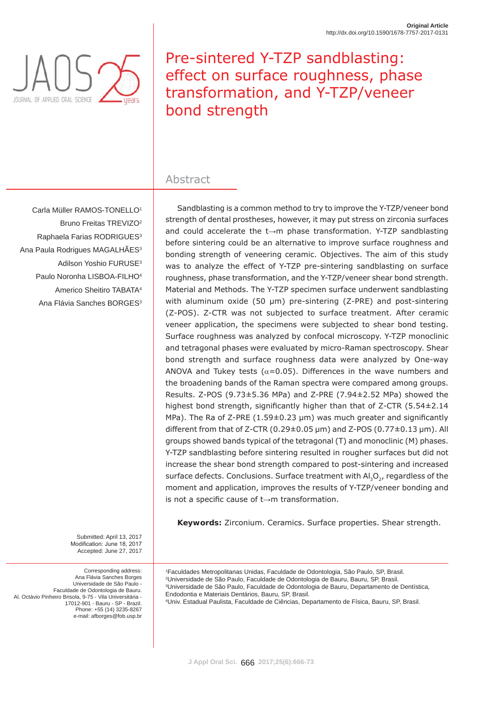

# Pre-sintered Y-TZP sandblasting: effect on surface roughness, phase transformation, and Y-TZP/veneer bond strength

# Abstract

Carla Müller RAMOS-TONELLO1 Bruno Freitas TREVIZO2 Raphaela Farias RODRIGUES<sup>3</sup> Ana Paula Rodrigues MAGALHÃES<sup>3</sup> Adilson Yoshio FURUSE3 Paulo Noronha LISBOA-FILHO4 Americo Sheitiro TABATA4 Ana Flávia Sanches BORGES<sup>3</sup>

Sandblasting is a common method to try to improve the Y-TZP/veneer bond strength of dental prostheses, however, it may put stress on zirconia surfaces and could accelerate the  $t\rightarrow m$  phase transformation. Y-TZP sandblasting before sintering could be an alternative to improve surface roughness and bonding strength of veneering ceramic. Objectives. The aim of this study was to analyze the effect of Y-TZP pre-sintering sandblasting on surface roughness, phase transformation, and the Y-TZP/veneer shear bond strength. Material and Methods. The Y-TZP specimen surface underwent sandblasting with aluminum oxide (50  $\mu$ m) pre-sintering (Z-PRE) and post-sintering (Z-POS). Z-CTR was not subjected to surface treatment. After ceramic veneer application, the specimens were subjected to shear bond testing. Surface roughness was analyzed by confocal microscopy. Y-TZP monoclinic and tetragonal phases were evaluated by micro-Raman spectroscopy. Shear bond strength and surface roughness data were analyzed by One-way ANOVA and Tukey tests ( $\alpha$ =0.05). Differences in the wave numbers and the broadening bands of the Raman spectra were compared among groups. Results. Z-POS (9.73±5.36 MPa) and Z-PRE (7.94±2.52 MPa) showed the highest bond strength, significantly higher than that of  $Z$ -CTR (5.54 $\pm$ 2.14 MPa). The Ra of Z-PRE (1.59 $\pm$ 0.23 µm) was much greater and significantly different from that of Z-CTR (0.29 $\pm$ 0.05 µm) and Z-POS (0.77 $\pm$ 0.13 µm). All groups showed bands typical of the tetragonal (T) and monoclinic (M) phases. Y-TZP sandblasting before sintering resulted in rougher surfaces but did not increase the shear bond strength compared to post-sintering and increased surface defects. Conclusions. Surface treatment with  $AI_2O<sub>2</sub>$ , regardless of the moment and application, improves the results of Y-TZP/veneer bonding and is not a specific cause of  $t\rightarrow m$  transformation.

**Keywords:** Zirconium. Ceramics. Surface properties. Shear strength.

 Faculdades Metropolitanas Unidas, Faculdade de Odontologia, São Paulo, SP, Brasil. Universidade de São Paulo, Faculdade de Odontologia de Bauru, Bauru, SP, Brasil. Universidade de São Paulo, Faculdade de Odontologia de Bauru, Departamento de Dentística, Endodontia e Materiais Dentários, Bauru, SP, Brasil. Univ. Estadual Paulista, Faculdade de Ciências, Departamento de Física, Bauru, SP, Brasil.

Submitted: April 13, 2017 Modification: June 18, 2017 Accepted: June 27, 2017

Corresponding address: Ana Flávia Sanches Borges Universidade de São Paulo - Faculdade de Odontologia de Bauru. Al. Octávio Pinheiro Brisola, 9-75 - Vila Universitária - 17012-901 - Bauru - SP - Brazil. Phone: +55 (14) 3235-8267 e-mail: afborges@fob.usp.br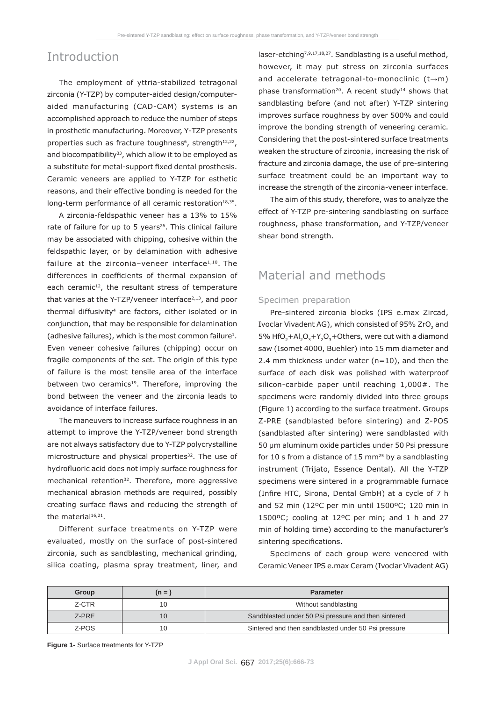### Introduction

The employment of yttria-stabilized tetragonal zirconia (Y-TZP) by computer-aided design/computeraided manufacturing (CAD-CAM) systems is an accomplished approach to reduce the number of steps in prosthetic manufacturing. Moreover, Y-TZP presents properties such as fracture toughness<sup>6</sup>, strength<sup>12,22</sup>, and biocompatibility<sup>33</sup>, which allow it to be employed as a substitute for metal-support fixed dental prosthesis. Ceramic veneers are applied to Y-TZP for esthetic reasons, and their effective bonding is needed for the long-term performance of all ceramic restoration<sup>18,35</sup>.

A zirconia-feldspathic veneer has a 13% to 15% rate of failure for up to 5 years<sup>26</sup>. This clinical failure may be associated with chipping, cohesive within the feldspathic layer, or by delamination with adhesive failure at the zirconia–veneer interface $1,10$ . The differences in coefficients of thermal expansion of each ceramic<sup>12</sup>, the resultant stress of temperature that varies at the Y-TZP/veneer interface<sup>2,13</sup>, and poor thermal diffusivity<sup>4</sup> are factors, either isolated or in conjunction, that may be responsible for delamination (adhesive failures), which is the most common failure<sup>1</sup>. Even veneer cohesive failures (chipping) occur on fragile components of the set. The origin of this type of failure is the most tensile area of the interface between two ceramics<sup>19</sup>. Therefore, improving the bond between the veneer and the zirconia leads to avoidance of interface failures.

The maneuvers to increase surface roughness in an attempt to improve the Y-TZP/veneer bond strength are not always satisfactory due to Y-TZP polycrystalline microstructure and physical properties<sup>32</sup>. The use of hydrofluoric acid does not imply surface roughness for mechanical retention<sup>32</sup>. Therefore, more aggressive mechanical abrasion methods are required, possibly creating surface flaws and reducing the strength of the material<sup>16,21</sup>.

Different surface treatments on Y-TZP were evaluated, mostly on the surface of post-sintered zirconia, such as sandblasting, mechanical grinding, silica coating, plasma spray treatment, liner, and laser-etching7,9,17,18,27. Sandblasting is a useful method, however, it may put stress on zirconia surfaces and accelerate tetragonal-to-monoclinic  $(t\rightarrow m)$ phase transformation<sup>20</sup>. A recent study<sup>14</sup> shows that sandblasting before (and not after) Y-TZP sintering improves surface roughness by over 500% and could improve the bonding strength of veneering ceramic. Considering that the post-sintered surface treatments weaken the structure of zirconia, increasing the risk of fracture and zirconia damage, the use of pre-sintering surface treatment could be an important way to increase the strength of the zirconia-veneer interface.

The aim of this study, therefore, was to analyze the effect of Y-TZP pre-sintering sandblasting on surface roughness, phase transformation, and Y-TZP/veneer shear bond strength.

### Material and methods

#### Specimen preparation

Pre-sintered zirconia blocks (IPS e.max Zircad, Ivoclar Vivadent AG), which consisted of 95% ZrO<sub>2</sub> and 5% HfO<sub>2</sub>+Al<sub>2</sub>O<sub>3</sub>+Y<sub>2</sub>O<sub>3</sub>+Others, were cut with a diamond saw (Isomet 4000, Buehler) into 15 mm diameter and 2.4 mm thickness under water (n=10), and then the surface of each disk was polished with waterproof silicon-carbide paper until reaching 1,000#. The specimens were randomly divided into three groups (Figure 1) according to the surface treatment. Groups Z-PRE (sandblasted before sintering) and Z-POS (sandblasted after sintering) were sandblasted with 50 μm aluminum oxide particles under 50 Psi pressure for 10 s from a distance of 15 mm<sup>25</sup> by a sandblasting instrument (Trijato, Essence Dental). All the Y-TZP specimens were sintered in a programmable furnace (Infire HTC, Sirona, Dental GmbH) at a cycle of 7 h and 52 min (12ºC *per* min until 1500ºC; 120 min in 1500ºC; cooling at 12ºC *per* min; and 1 h and 27 min of holding time) according to the manufacturer's sintering specifications.

Specimens of each group were veneered with Ceramic Veneer IPS e.max Ceram (Ivoclar Vivadent AG)

| Group | $(n = 1)$ | <b>Parameter</b>                                    |
|-------|-----------|-----------------------------------------------------|
| Z-CTR | 10        | Without sandblasting                                |
| Z-PRE | 10        | Sandblasted under 50 Psi pressure and then sintered |
| Z-POS | 10        | Sintered and then sandblasted under 50 Psi pressure |

**Figure 1-** Surface treatments for Y-TZP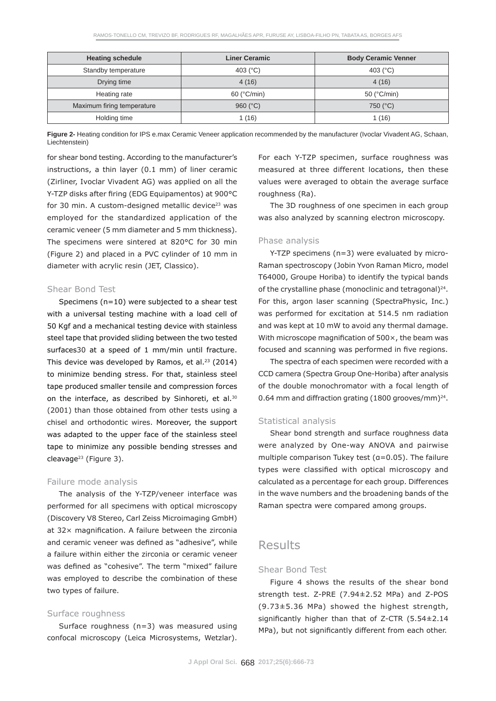| <b>Heating schedule</b>    | <b>Liner Ceramic</b> | <b>Body Ceramic Venner</b> |
|----------------------------|----------------------|----------------------------|
| Standby temperature        | 403 $(^{\circ}C)$    | 403 $(^{\circ}C)$          |
| Drying time                | 4(16)                | 4(16)                      |
| Heating rate               | $60$ ( $°C/min$ )    | 50 ( $°C/min$ )            |
| Maximum firing temperature | 960 $(C)$            | 750 (°C)                   |
| Holding time               | 1 (16)               | 1(16)                      |

**Figure 2-** Heating condition for IPS e.max Ceramic Veneer application recommended by the manufacturer (Ivoclar Vivadent AG, Schaan, Liechtenstein)

for shear bond testing. According to the manufacturer's instructions, a thin layer (0.1 mm) of liner ceramic (Zirliner, Ivoclar Vivadent AG) was applied on all the Y-TZP disks after firing (EDG Equipamentos) at 900°C for 30 min. A custom-designed metallic device $23$  was employed for the standardized application of the ceramic veneer (5 mm diameter and 5 mm thickness). The specimens were sintered at 820°C for 30 min (Figure 2) and placed in a PVC cylinder of 10 mm in diameter with acrylic resin (JET, Classico).

### Shear Bond Test

Specimens (n=10) were subjected to a shear test with a universal testing machine with a load cell of 50 Kgf and a mechanical testing device with stainless steel tape that provided sliding between the two tested surfaces30 at a speed of 1 mm/min until fracture. This device was developed by Ramos, et al. $23$  (2014) to minimize bending stress. For that, stainless steel tape produced smaller tensile and compression forces on the interface, as described by Sinhoreti, et al.<sup>30</sup> (2001) than those obtained from other tests using a chisel and orthodontic wires. Moreover, the support was adapted to the upper face of the stainless steel tape to minimize any possible bending stresses and cleavage<sup>23</sup> (Figure 3).

### Failure mode analysis

The analysis of the Y-TZP/veneer interface was performed for all specimens with optical microscopy (Discovery V8 Stereo, Carl Zeiss Microimaging GmbH) at  $32\times$  magnification. A failure between the zirconia and ceramic veneer was defined as "adhesive", while a failure within either the zirconia or ceramic veneer was defined as "cohesive". The term "mixed" failure was employed to describe the combination of these two types of failure.

### Surface roughness

Surface roughness (n=3) was measured using confocal microscopy (Leica Microsystems, Wetzlar).

For each Y-TZP specimen, surface roughness was measured at three different locations, then these values were averaged to obtain the average surface roughness (Ra).

The 3D roughness of one specimen in each group was also analyzed by scanning electron microscopy.

### Phase analysis

Y-TZP specimens (n=3) were evaluated by micro-Raman spectroscopy (Jobin Yvon Raman Micro, model T64000, Groupe Horiba) to identify the typical bands of the crystalline phase (monoclinic and tetragonal) $^{24}$ . For this, argon laser scanning (SpectraPhysic, Inc.) was performed for excitation at 514.5 nm radiation and was kept at 10 mW to avoid any thermal damage. With microscope magnification of  $500 \times$ , the beam was focused and scanning was performed in five regions.

The spectra of each specimen were recorded with a CCD camera (Spectra Group One-Horiba) after analysis of the double monochromator with a focal length of 0.64 mm and diffraction grating (1800 grooves/mm)<sup>24</sup>.

### Statistical analysis

Shear bond strength and surface roughness data were analyzed by One-way ANOVA and pairwise multiple comparison Tukey test ( $a=0.05$ ). The failure types were classified with optical microscopy and calculated as a percentage for each group. Differences in the wave numbers and the broadening bands of the Raman spectra were compared among groups.

## Results

### Shear Bond Test

Figure 4 shows the results of the shear bond strength test. Z-PRE (7.94±2.52 MPa) and Z-POS (9.73±5.36 MPa) showed the highest strength, significantly higher than that of  $Z$ -CTR (5.54 $\pm$ 2.14 MPa), but not significantly different from each other.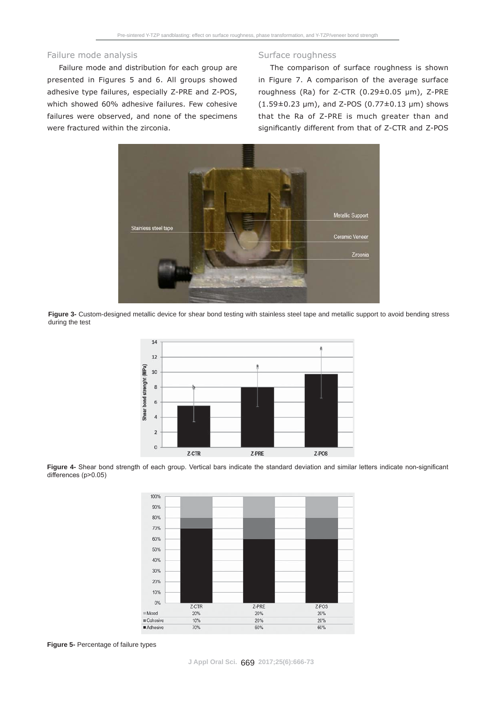#### Failure mode analysis

Failure mode and distribution for each group are presented in Figures 5 and 6. All groups showed adhesive type failures, especially Z-PRE and Z-POS, which showed 60% adhesive failures. Few cohesive failures were observed, and none of the specimens were fractured within the zirconia.

#### Surface roughness

The comparison of surface roughness is shown in Figure 7. A comparison of the average surface roughness (Ra) for Z-CTR ( $0.29 \pm 0.05$  µm), Z-PRE  $(1.59\pm0.23 \text{ }\mu\text{m})$ , and Z-POS  $(0.77\pm0.13 \text{ }\mu\text{m})$  shows that the Ra of Z-PRE is much greater than and significantly different from that of Z-CTR and Z-POS



**Figure 3-** Custom-designed metallic device for shear bond testing with stainless steel tape and metallic support to avoid bending stress during the test



Figure 4- Shear bond strength of each group. Vertical bars indicate the standard deviation and similar letters indicate non-significant differences (p>0.05)



**Figure 5-** Percentage of failure types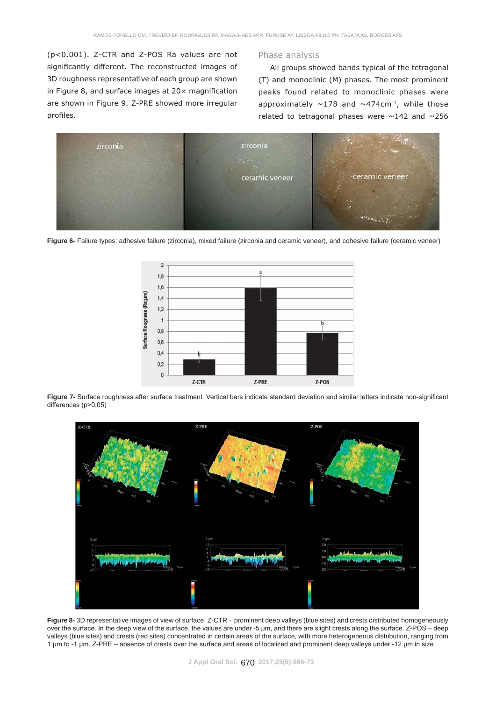(*p*<0.001). Z-CTR and Z-POS Ra values are not significantly different. The reconstructed images of 3D roughness representative of each group are shown in Figure 8, and surface images at  $20 \times$  magnification are shown in Figure 9. Z-PRE showed more irregular profiles.

#### Phase analysis

All groups showed bands typical of the tetragonal (T) and monoclinic (M) phases. The most prominent peaks found related to monoclinic phases were approximately  $\sim$ 178 and  $\sim$ 474cm<sup>-1</sup>, while those related to tetragonal phases were  $\sim$ 142 and  $\sim$ 256



Figure 6- Failure types: adhesive failure (zirconia), mixed failure (zirconia and ceramic veneer), and cohesive failure (ceramic veneer)



Figure 7- Surface roughness after surface treatment. Vertical bars indicate standard deviation and similar letters indicate non-significant  $d$ ifferences (p> $0.05$ )



**Figure 8-** 3D representative images of view of surface. Z-CTR – prominent deep valleys (blue sites) and crests distributed homogeneously over the surface. In the deep view of the surface, the values are under -5 µm, and there are slight crests along the surface. Z-POS - deep valleys (blue sites) and crests (red sites) concentrated in certain areas of the surface, with more heterogeneous distribution, ranging from 1 um to -1 um. Z-PRE - absence of crests over the surface and areas of localized and prominent deep valleys under -12 um in size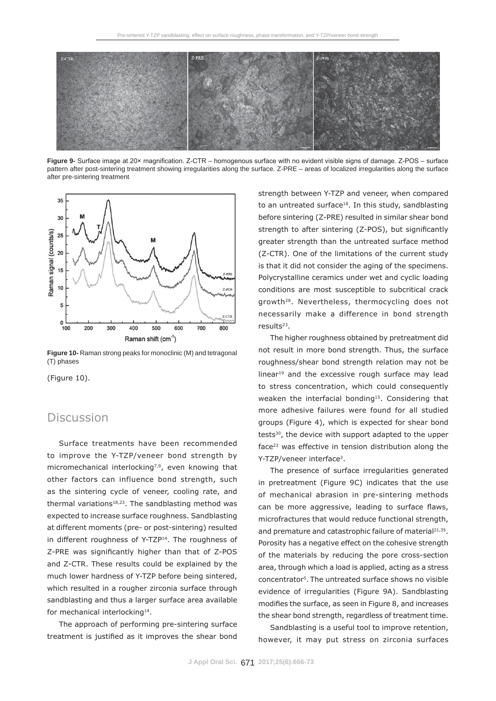

Figure 9- Surface image at 20× magnification. Z-CTR - homogenous surface with no evident visible signs of damage. Z-POS - surface pattern after post-sintering treatment showing irregularities along the surface. Z-PRE – areas of localized irregularities along the surface after pre-sintering treatment



**Figure 10-** Raman strong peaks for monoclinic (M) and tetragonal (T) phases

(Figure 10).

### **Discussion**

Surface treatments have been recommended to improve the Y-TZP/veneer bond strength by micromechanical interlocking<sup>7,9</sup>, even knowing that other factors can influence bond strength, such as the sintering cycle of veneer, cooling rate, and thermal variations<sup>18,23</sup>. The sandblasting method was expected to increase surface roughness. Sandblasting at different moments (pre- or post-sintering) resulted in different roughness of Y-TZP<sup>14</sup>. The roughness of Z-PRE was significantly higher than that of Z-POS and Z-CTR. These results could be explained by the much lower hardness of Y-TZP before being sintered, which resulted in a rougher zirconia surface through sandblasting and thus a larger surface area available for mechanical interlocking<sup>14</sup>.

The approach of performing pre-sintering surface treatment is justified as it improves the shear bond strength between Y-TZP and veneer, when compared to an untreated surface<sup>18</sup>. In this study, sandblasting before sintering (Z-PRE) resulted in similar shear bond strength to after sintering (Z-POS), but significantly greater strength than the untreated surface method (Z-CTR). One of the limitations of the current study is that it did not consider the aging of the specimens. Polycrystalline ceramics under wet and cyclic loading conditions are most susceptible to subcritical crack growth28. Nevertheless, thermocycling does not necessarily make a difference in bond strength results<sup>23</sup>.

The higher roughness obtained by pretreatment did not result in more bond strength. Thus, the surface roughness/shear bond strength relation may not be linear<sup>19</sup> and the excessive rough surface may lead to stress concentration, which could consequently weaken the interfacial bonding<sup>15</sup>. Considering that more adhesive failures were found for all studied groups (Figure 4), which is expected for shear bond tests<sup>30</sup>, the device with support adapted to the upper face23 was effective in tension distribution along the Y-TZP/veneer interface<sup>3</sup>.

The presence of surface irregularities generated in pretreatment (Figure 9C) indicates that the use of mechanical abrasion in pre-sintering methods can be more aggressive, leading to surface flaws, microfractures that would reduce functional strength, and premature and catastrophic failure of material<sup>21,35</sup>. Porosity has a negative effect on the cohesive strength of the materials by reducing the pore cross-section area, through which a load is applied, acting as a stress concentrator5. The untreated surface shows no visible evidence of irregularities (Figure 9A). Sandblasting modifies the surface, as seen in Figure 8, and increases the shear bond strength, regardless of treatment time.

Sandblasting is a useful tool to improve retention, however, it may put stress on zirconia surfaces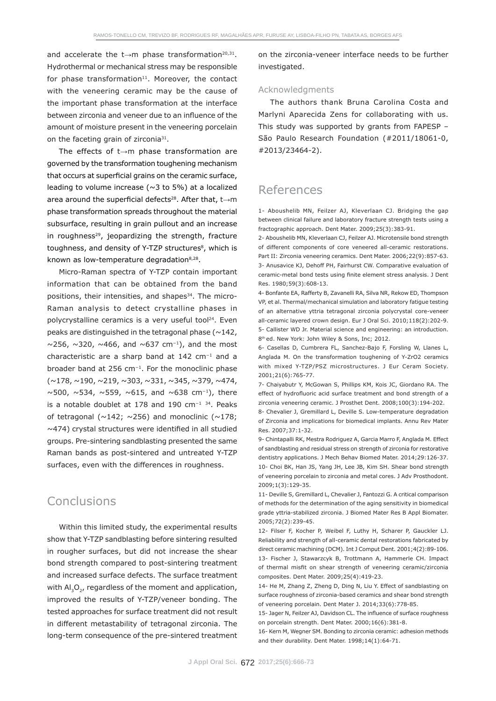and accelerate the  $t\rightarrow m$  phase transformation<sup>20,31</sup>. Hydrothermal or mechanical stress may be responsible for phase transformation $11$ . Moreover, the contact with the veneering ceramic may be the cause of the important phase transformation at the interface between zirconia and veneer due to an influence of the amount of moisture present in the veneering porcelain on the faceting grain of zirconia<sup>31</sup>.

The effects of  $t \rightarrow m$  phase transformation are governed by the transformation toughening mechanism that occurs at superficial grains on the ceramic surface, leading to volume increase ( $\sim$ 3 to 5%) at a localized area around the superficial defects<sup>28</sup>. After that, t $\rightarrow$ m phase transformation spreads throughout the material subsurface, resulting in grain pullout and an increase in roughness $29$ , jeopardizing the strength, fracture toughness, and density of Y-TZP structures<sup>8</sup>, which is known as low-temperature degradation8,28.

Micro-Raman spectra of Y-TZP contain important information that can be obtained from the band positions, their intensities, and shapes<sup>34</sup>. The micro-Raman analysis to detect crystalline phases in polycrystalline ceramics is a very useful tool<sup>24</sup>. Even peaks are distinguished in the tetragonal phase  $(\sim 142,$  $\sim$ 256,  $\sim$ 320,  $\sim$ 466, and  $\sim$ 637 cm<sup>-1</sup>), and the most characteristic are a sharp band at  $142 \text{ cm}^{-1}$  and a broader band at 256  $cm^{-1}$ . For the monoclinic phase  $(\sim 178, \sim 190, \sim 219, \sim 303, \sim 331, \sim 345, \sim 379, \sim 474,$  $\sim$ 500,  $\sim$ 534,  $\sim$ 559,  $\sim$ 615, and  $\sim$ 638 cm<sup>-1</sup>), there is a notable doublet at 178 and 190  $cm^{-1}$  34. Peaks of tetragonal ( $\sim$ 142;  $\sim$ 256) and monoclinic ( $\sim$ 178;  $\sim$ 474) crystal structures were identified in all studied groups. Pre-sintering sandblasting presented the same Raman bands as post-sintered and untreated Y-TZP surfaces, even with the differences in roughness.

# **Conclusions**

Within this limited study, the experimental results show that Y-TZP sandblasting before sintering resulted in rougher surfaces, but did not increase the shear bond strength compared to post-sintering treatment and increased surface defects. The surface treatment with  $AI_3O_2$ , regardless of the moment and application, improved the results of Y-TZP/veneer bonding. The tested approaches for surface treatment did not result in different metastability of tetragonal zirconia. The long-term consequence of the pre-sintered treatment

on the zirconia-veneer interface needs to be further investigated.

### Acknowledgments

The authors thank Bruna Carolina Costa and Marlyni Aparecida Zens for collaborating with us. This study was supported by grants from FAPESP – São Paulo Research Foundation (#2011/18061-0, #2013/23464-2).

# References

1- Aboushelib MN, Feilzer AJ, Kleverlaan CJ. Bridging the gap between clinical failure and laboratory fracture strength tests using a fractographic approach. Dent Mater. 2009;25(3):383-91.

2- Aboushelib MN, Kleverlaan CJ, Feilzer AJ. Microtensile bond strength of different components of core veneered all-ceramic restorations. Part II: Zirconia veneering ceramics. Dent Mater. 2006;22(9):857-63. 3- Anusavice KJ, Dehoff PH, Fairhurst CW. Comparative evaluation of ceramic-metal bond tests using finite element stress analysis. J Dent Res. 1980;59(3):608-13.

4- Bonfante EA, Rafferty B, Zavanelli RA, Silva NR, Rekow ED, Thompson VP, et al. Thermal/mechanical simulation and laboratory fatigue testing of an alternative yttria tetragonal zirconia polycrystal core-veneer all-ceramic layered crown design. Eur J Oral Sci. 2010;118(2):202-9. 5- Callister WD Jr. Material science and engineering: an introduction. 8<sup>th</sup> ed. New York: John Wiley & Sons, Inc; 2012.

6- Casellas D, Cumbrera FL, Sanchez-Bajo F, Forsling W, Llanes L, Anglada M. On the transformation toughening of Y-ZrO2 ceramics with mixed Y-TZP/PSZ microstructures. J Eur Ceram Society. 2001;21(6):765-77.

7- Chaiyabutr Y, McGowan S, Phillips KM, Kois JC, Giordano RA. The effect of hydrofluoric acid surface treatment and bond strength of a zirconia veneering ceramic. J Prosthet Dent. 2008;100(3):194-202.

8- Chevalier J, Gremillard L, Deville S. Low-temperature degradation of Zirconia and implications for biomedical implants. Annu Rev Mater Res. 2007;37:1-32.

9- Chintapalli RK, Mestra Rodriguez A, Garcia Marro F, Anglada M. Effect of sandblasting and residual stress on strength of zirconia for restorative dentistry applications. J Mech Behav Biomed Mater. 2014;29:126-37. 10- Choi BK, Han JS, Yang JH, Lee JB, Kim SH. Shear bond strength of veneering porcelain to zirconia and metal cores. J Adv Prosthodont. 2009;1(3):129-35.

11- Deville S, Gremillard L, Chevalier J, Fantozzi G. A critical comparison of methods for the determination of the aging sensitivity in biomedical grade yttria-stabilized zirconia. J Biomed Mater Res B Appl Biomater. 2005;72(2):239-45.

12- Filser F, Kocher P, Weibel F, Luthy H, Scharer P, Gauckler LJ. Reliability and strength of all-ceramic dental restorations fabricated by direct ceramic machining (DCM). Int J Comput Dent. 2001;4(2):89-106. 13- Fischer J, Stawarzcyk B, Trottmann A, Hammerle CH. Impact of thermal misfit on shear strength of veneering ceramic/zirconia composites. Dent Mater. 2009;25(4):419-23.

14- He M, Zhang Z, Zheng D, Ding N, Liu Y. Effect of sandblasting on surface roughness of zirconia-based ceramics and shear bond strength of veneering porcelain. Dent Mater J. 2014;33(6):778-85.

15- Jager N, Feilzer AJ, Davidson CL. The influence of surface roughness on porcelain strength. Dent Mater. 2000;16(6):381-8.

16- Kern M, Wegner SM. Bonding to zirconia ceramic: adhesion methods and their durability. Dent Mater. 1998;14(1):64-71.